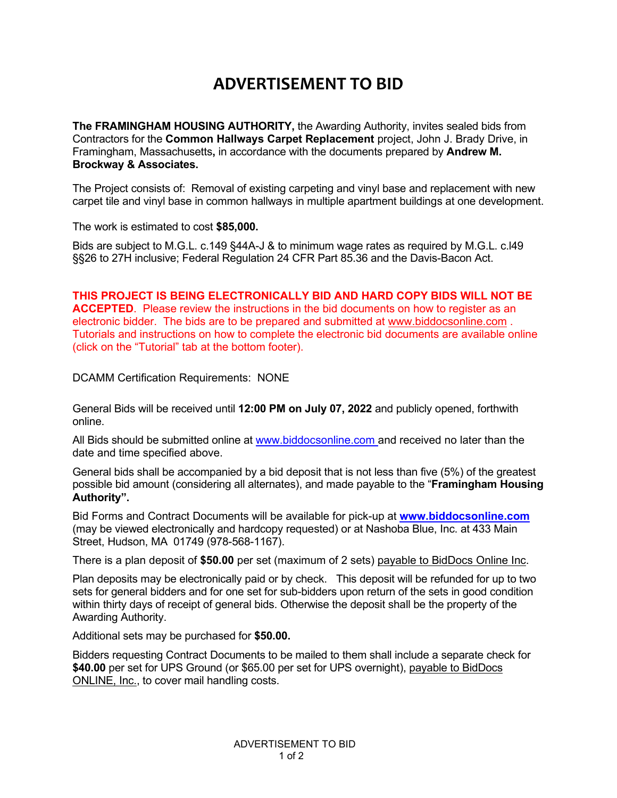## **ADVERTISEMENT TO BID**

**The FRAMINGHAM HOUSING AUTHORITY,** the Awarding Authority, invites sealed bids from Contractors for the **Common Hallways Carpet Replacement** project, John J. Brady Drive, in Framingham, Massachusetts**,** in accordance with the documents prepared by **Andrew M. Brockway & Associates.**

The Project consists of: Removal of existing carpeting and vinyl base and replacement with new carpet tile and vinyl base in common hallways in multiple apartment buildings at one development.

The work is estimated to cost **\$85,000.**

Bids are subject to M.G.L. c.149 §44A-J & to minimum wage rates as required by M.G.L. c.l49 §§26 to 27H inclusive; Federal Regulation 24 CFR Part 85.36 and the Davis-Bacon Act.

**THIS PROJECT IS BEING ELECTRONICALLY BID AND HARD COPY BIDS WILL NOT BE ACCEPTED**. Please review the instructions in the bid documents on how to register as an electronic bidder. The bids are to be prepared and submitted at www.biddocsonline.com . Tutorials and instructions on how to complete the electronic bid documents are available online (click on the "Tutorial" tab at the bottom footer).

DCAMM Certification Requirements: NONE

General Bids will be received until **12:00 PM on July 07, 2022** and publicly opened, forthwith online.

All Bids should be submitted online at www.biddocsonline.com and received no later than the date and time specified above.

General bids shall be accompanied by a bid deposit that is not less than five (5%) of the greatest possible bid amount (considering all alternates), and made payable to the "**Framingham Housing Authority".**

Bid Forms and Contract Documents will be available for pick-up at **www.biddocsonline.com** (may be viewed electronically and hardcopy requested) or at Nashoba Blue, Inc. at 433 Main Street, Hudson, MA 01749 (978-568-1167).

There is a plan deposit of **\$50.00** per set (maximum of 2 sets) payable to BidDocs Online Inc.

Plan deposits may be electronically paid or by check. This deposit will be refunded for up to two sets for general bidders and for one set for sub-bidders upon return of the sets in good condition within thirty days of receipt of general bids. Otherwise the deposit shall be the property of the Awarding Authority.

Additional sets may be purchased for **\$50.00.**

Bidders requesting Contract Documents to be mailed to them shall include a separate check for **\$40.00** per set for UPS Ground (or \$65.00 per set for UPS overnight), payable to BidDocs ONLINE, Inc., to cover mail handling costs.